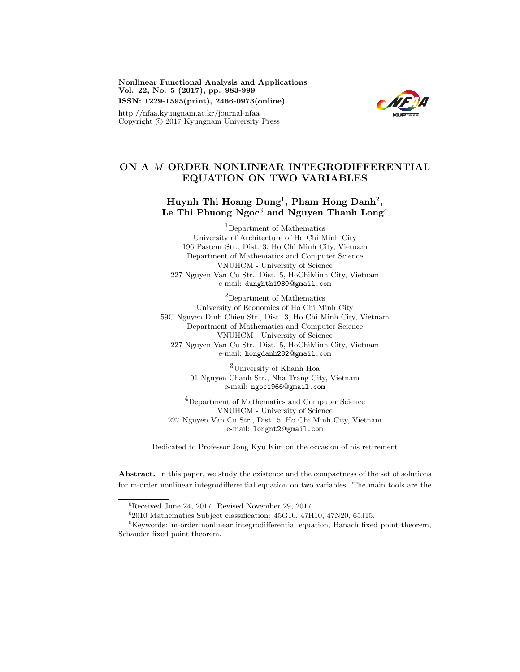Nonlinear Functional Analysis and Applications Vol. 22, No. 5 (2017), pp. 983-999 ISSN: 1229-1595(print), 2466-0973(online)

KUPress

## http://nfaa.kyungnam.ac.kr/journal-nfaa Copyright  $\odot$  2017 Kyungnam University Press

## ON A M-ORDER NONLINEAR INTEGRODIFFERENTIAL EQUATION ON TWO VARIABLES

# Huynh Thi Hoang  $\operatorname{Dung^1},$  Pham Hong  $\operatorname{Danh^2},$ Le Thi Phuong Ngoc $^3$  and Nguyen Thanh  $\operatorname{Long}^4$

<sup>1</sup>Department of Mathematics University of Architecture of Ho Chi Minh City 196 Pasteur Str., Dist. 3, Ho Chi Minh City, Vietnam Department of Mathematics and Computer Science VNUHCM - University of Science 227 Nguyen Van Cu Str., Dist. 5, HoChiMinh City, Vietnam e-mail: dunghth1980@gmail.com

<sup>2</sup>Department of Mathematics University of Economics of Ho Chi Minh City 59C Nguyen Dinh Chieu Str., Dist. 3, Ho Chi Minh City, Vietnam Department of Mathematics and Computer Science VNUHCM - University of Science 227 Nguyen Van Cu Str., Dist. 5, HoChiMinh City, Vietnam e-mail: hongdanh282@gmail.com

> <sup>3</sup>University of Khanh Hoa 01 Nguyen Chanh Str., Nha Trang City, Vietnam e-mail: ngoc1966@gmail.com

<sup>4</sup>Department of Mathematics and Computer Science VNUHCM - University of Science 227 Nguyen Van Cu Str., Dist. 5, Ho Chi Minh City, Vietnam e-mail: longnt2@gmail.com

Dedicated to Professor Jong Kyu Kim on the occasion of his retirement

Abstract. In this paper, we study the existence and the compactness of the set of solutions for m-order nonlinear integrodifferential equation on two variables. The main tools are the

<sup>0</sup>Received June 24, 2017. Revised November 29, 2017.

<sup>0</sup> 2010 Mathematics Subject classification: 45G10, 47H10, 47N20, 65J15.

 ${}^{0}$ Keywords: m-order nonlinear integrodifferential equation, Banach fixed point theorem, Schauder fixed point theorem.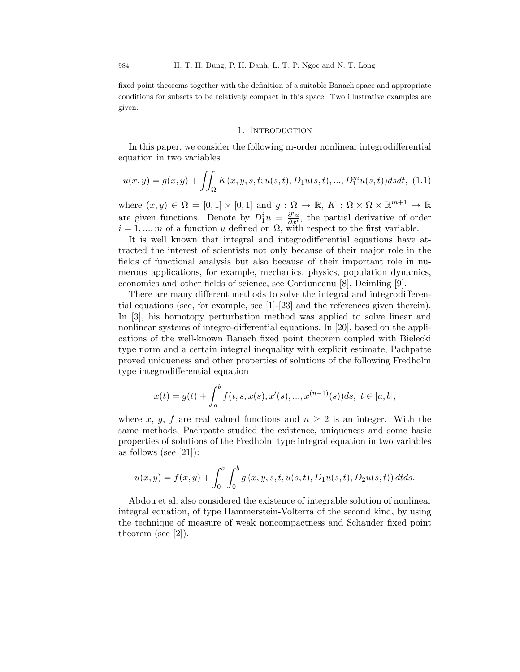fixed point theorems together with the definition of a suitable Banach space and appropriate conditions for subsets to be relatively compact in this space. Two illustrative examples are given.

## 1. INTRODUCTION

In this paper, we consider the following m-order nonlinear integrodifferential equation in two variables

$$
u(x,y) = g(x,y) + \iint_{\Omega} K(x,y,s,t;u(s,t),D_1u(s,t),...,D_1^m u(s,t))dsdt, (1.1)
$$

where  $(x, y) \in \Omega = [0, 1] \times [0, 1]$  and  $g : \Omega \to \mathbb{R}, K : \Omega \times \Omega \times \mathbb{R}^{m+1} \to \mathbb{R}$ are given functions. Denote by  $D_1^i u = \frac{\partial^i u}{\partial x^i}$  $\frac{\partial^{\alpha} u}{\partial x^i}$ , the partial derivative of order  $i = 1, \ldots, m$  of a function u defined on  $\Omega$ , with respect to the first variable.

It is well known that integral and integrodifferential equations have attracted the interest of scientists not only because of their major role in the fields of functional analysis but also because of their important role in numerous applications, for example, mechanics, physics, population dynamics, economics and other fields of science, see Corduneanu [8], Deimling [9].

There are many different methods to solve the integral and integrodifferential equations (see, for example, see [1]-[23] and the references given therein). In [3], his homotopy perturbation method was applied to solve linear and nonlinear systems of integro-differential equations. In [20], based on the applications of the well-known Banach fixed point theorem coupled with Bielecki type norm and a certain integral inequality with explicit estimate, Pachpatte proved uniqueness and other properties of solutions of the following Fredholm type integrodifferential equation

$$
x(t) = g(t) + \int_a^b f(t, s, x(s), x'(s), ..., x^{(n-1)}(s))ds, \ t \in [a, b],
$$

where x, g, f are real valued functions and  $n \geq 2$  is an integer. With the same methods, Pachpatte studied the existence, uniqueness and some basic properties of solutions of the Fredholm type integral equation in two variables as follows (see [21]):

$$
u(x,y) = f(x,y) + \int_0^a \int_0^b g(x,y,s,t,u(s,t),D_1u(s,t),D_2u(s,t))\,dtds.
$$

Abdou et al. also considered the existence of integrable solution of nonlinear integral equation, of type Hammerstein-Volterra of the second kind, by using the technique of measure of weak noncompactness and Schauder fixed point theorem (see [2]).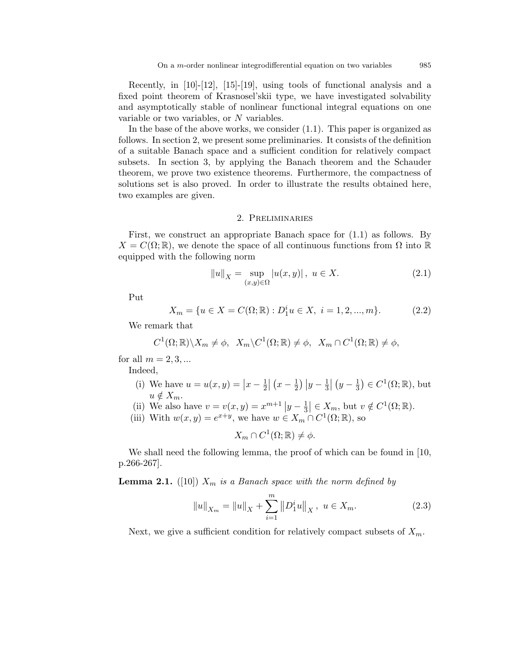Recently, in [10]-[12], [15]-[19], using tools of functional analysis and a fixed point theorem of Krasnosel'skii type, we have investigated solvability and asymptotically stable of nonlinear functional integral equations on one variable or two variables, or N variables.

In the base of the above works, we consider (1.1). This paper is organized as follows. In section 2, we present some preliminaries. It consists of the definition of a suitable Banach space and a sufficient condition for relatively compact subsets. In section 3, by applying the Banach theorem and the Schauder theorem, we prove two existence theorems. Furthermore, the compactness of solutions set is also proved. In order to illustrate the results obtained here, two examples are given.

### 2. Preliminaries

First, we construct an appropriate Banach space for (1.1) as follows. By  $X = C(\Omega;\mathbb{R})$ , we denote the space of all continuous functions from  $\Omega$  into  $\mathbb{R}$ equipped with the following norm

$$
||u||_X = \sup_{(x,y)\in\Omega} |u(x,y)|, \ u \in X.
$$
 (2.1)

Put

$$
X_m = \{ u \in X = C(\Omega; \mathbb{R}) : D_1^i u \in X, \ i = 1, 2, ..., m \}. \tag{2.2}
$$

We remark that

$$
C^{1}(\Omega;\mathbb{R})\backslash X_{m}\neq\phi,\ \ X_{m}\backslash C^{1}(\Omega;\mathbb{R})\neq\phi,\ \ X_{m}\cap C^{1}(\Omega;\mathbb{R})\neq\phi,
$$

for all  $m = 2, 3, ...$ 

Indeed,

- (i) We have  $u = u(x, y) = |x \frac{1}{2}|$  $\frac{1}{2} | (x - \frac{1}{2})$  $\frac{1}{2}$ )  $|y-\frac{1}{3}|$  $\frac{1}{3} | (y - \frac{1}{3})$  $(\frac{1}{3}) \in C^1(\Omega;\mathbb{R}), \text{ but}$  $u \notin X_m$ .
- (ii) We also have  $v = v(x, y) = x^{m+1} |y \frac{1}{3}$  $\frac{1}{3} \in X_m$ , but  $v \notin C^1(\Omega; \mathbb{R})$ .
- (iii) With  $w(x, y) = e^{x+y}$ , we have  $w \in X_m \cap C^1(\Omega; \mathbb{R})$ , so

$$
X_m \cap C^1(\Omega; \mathbb{R}) \neq \phi.
$$

We shall need the following lemma, the proof of which can be found in [10, p.266-267].

**Lemma 2.1.** ([10])  $X_m$  is a Banach space with the norm defined by

$$
||u||_{X_m} = ||u||_X + \sum_{i=1}^m ||D_1^i u||_X, \ u \in X_m.
$$
 (2.3)

Next, we give a sufficient condition for relatively compact subsets of  $X_m$ .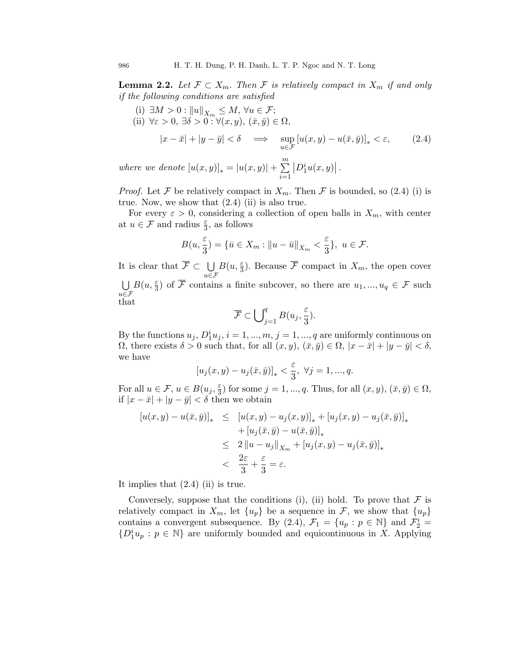**Lemma 2.2.** Let  $\mathcal{F} \subset X_m$ . Then  $\mathcal{F}$  is relatively compact in  $X_m$  if and only if the following conditions are satisfied

- (i)  $\exists M > 0 : ||u||_{X_m} \leq M, \forall u \in \mathcal{F};$
- (ii)  $\forall \varepsilon > 0, \exists \delta > 0 : \forall (x, y), (\bar{x}, \bar{y}) \in \Omega,$

$$
|x - \bar{x}| + |y - \bar{y}| < \delta \implies \sup_{u \in \mathcal{F}} \left[ u(x, y) - u(\bar{x}, \bar{y}) \right]_{*} < \varepsilon,\tag{2.4}
$$

where we denote  $[u(x, y)]_* = |u(x, y)| + \sum_{n=1}^{\infty}$  $i=1$  $\left|D_1^i u(x,y)\right|$ .

*Proof.* Let F be relatively compact in  $X_m$ . Then F is bounded, so (2.4) (i) is true. Now, we show that  $(2.4)$  (ii) is also true.

For every  $\varepsilon > 0$ , considering a collection of open balls in  $X_m$ , with center at  $u \in \mathcal{F}$  and radius  $\frac{\varepsilon}{3}$ , as follows

$$
B(u, \frac{\varepsilon}{3}) = \{ \bar{u} \in X_m : ||u - \bar{u}||_{X_m} < \frac{\varepsilon}{3} \}, \ u \in \mathcal{F}.
$$

It is clear that  $\overline{\mathcal{F}} \subset \bigcup$  $u \in \mathcal{F}$  $B(u, \frac{\varepsilon}{3})$ . Because  $\overline{\mathcal{F}}$  compact in  $X_m$ , the open cover U  $u \in \mathcal{F}$  $B(u, \frac{\varepsilon}{3})$  of  $\overline{\mathcal{F}}$  contains a finite subcover, so there are  $u_1, ..., u_q \in \mathcal{F}$  such that

$$
\overline{\mathcal{F}} \subset \bigcup_{j=1}^q B(u_j, \frac{\varepsilon}{3}).
$$

By the functions  $u_j, D_1^i u_j, i = 1, ..., m, j = 1, ..., q$  are uniformly continuous on  $\Omega$ , there exists  $\delta > 0$  such that, for all  $(x, y)$ ,  $(\bar{x}, \bar{y}) \in \Omega$ ,  $|x - \bar{x}| + |y - \bar{y}| < \delta$ , we have

$$
[u_j(x,y)-u_j(\bar x,\bar y)]_*<\frac{\varepsilon}{3},\ \forall j=1,...,q.
$$

For all  $u \in \mathcal{F}$ ,  $u \in B(u_j, \frac{\varepsilon}{3})$  $\frac{\varepsilon}{3}$ ) for some  $j = 1, ..., q$ . Thus, for all  $(x, y), (\bar{x}, \bar{y}) \in \Omega$ , if  $|x - \bar{x}| + |y - \bar{y}| < \delta$  then we obtain

$$
[u(x,y) - u(\bar{x},\bar{y})]_{*} \leq [u(x,y) - u_j(x,y)]_{*} + [u_j(x,y) - u_j(\bar{x},\bar{y})]_{*}
$$
  
+ 
$$
[u_j(\bar{x},\bar{y}) - u(\bar{x},\bar{y})]_{*}
$$
  

$$
\leq 2 ||u - u_j||_{X_m} + [u_j(x,y) - u_j(\bar{x},\bar{y})]_{*}
$$
  

$$
< \frac{2\varepsilon}{3} + \frac{\varepsilon}{3} = \varepsilon.
$$

It implies that  $(2.4)$  (ii) is true.

Conversely, suppose that the conditions (i), (ii) hold. To prove that  $\mathcal F$  is relatively compact in  $X_m$ , let  $\{u_p\}$  be a sequence in  $\mathcal{F}$ , we show that  $\{u_p\}$ contains a convergent subsequence. By (2.4),  $\mathcal{F}_1 = \{u_p : p \in \mathbb{N}\}\$ and  $\mathcal{F}_2^i$  $\{D_1^i u_p : p \in \mathbb{N}\}\$ are uniformly bounded and equicontinuous in X. Applying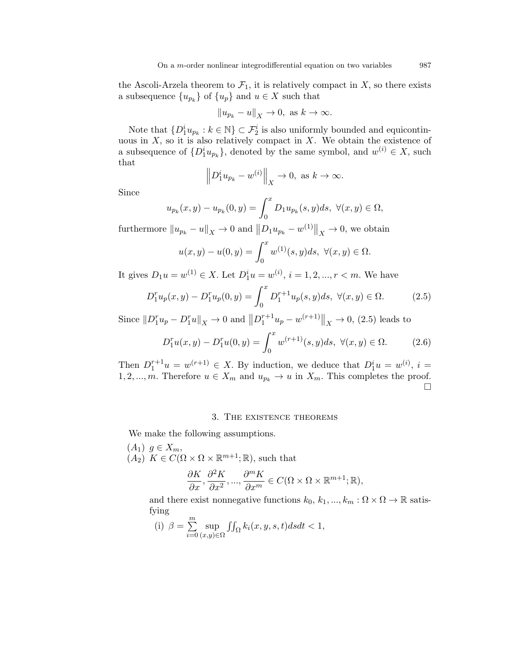the Ascoli-Arzela theorem to  $\mathcal{F}_1$ , it is relatively compact in X, so there exists a subsequence  $\{u_{p_k}\}\$  of  $\{u_p\}$  and  $u \in X$  such that

$$
||u_{p_k}-u||_X\to 0, \text{ as } k\to\infty.
$$

Note that  $\{D_1^i u_{p_k} : k \in \mathbb{N}\} \subset \mathcal{F}_2^i$  is also uniformly bounded and equicontinuous in  $X$ , so it is also relatively compact in  $X$ . We obtain the existence of a subsequence of  $\{D_1^i u_{p_k}\},$  denoted by the same symbol, and  $w^{(i)} \in X$ , such that

$$
\left\| D_1^i u_{p_k} - w^{(i)} \right\|_X \to 0, \text{ as } k \to \infty.
$$

Since

$$
u_{p_k}(x, y) - u_{p_k}(0, y) = \int_0^x D_1 u_{p_k}(s, y) ds, \ \forall (x, y) \in \Omega,
$$

furthermore  $||u_{p_k} - u||_X \to 0$  and  $||D_1u_{p_k} - w^{(1)}||_X \to 0$ , we obtain

$$
u(x, y) - u(0, y) = \int_0^x w^{(1)}(s, y)ds, \ \forall (x, y) \in \Omega.
$$

It gives  $D_1 u = w^{(1)} \in X$ . Let  $D_1^i u = w^{(i)}$ ,  $i = 1, 2, ..., r < m$ . We have

$$
D_1^r u_p(x, y) - D_1^r u_p(0, y) = \int_0^x D_1^{r+1} u_p(s, y) ds, \ \forall (x, y) \in \Omega.
$$
 (2.5)

Since  $||D_1^r u_p - D_1^r u||_X \to 0$  and  $||D_1^{r+1} u_p - w^{(r+1)}||_X \to 0$ , (2.5) leads to

$$
D_1^r u(x, y) - D_1^r u(0, y) = \int_0^x w^{(r+1)}(s, y) ds, \ \forall (x, y) \in \Omega.
$$
 (2.6)

Then  $D_1^{r+1}u = w^{(r+1)} \in X$ . By induction, we deduce that  $D_1^i u = w^{(i)}$ ,  $i =$ 1, 2, ..., m. Therefore  $u \in X_m$  and  $u_{p_k} \to u$  in  $X_m$ . This completes the proof.  $\Box$ 

### 3. The existence theorems

We make the following assumptions.

 $(A_1)$   $g \in X_m$ ,  $(A_2)$   $K \in \mathcal{C}(\Omega \times \Omega \times \mathbb{R}^{m+1}; \mathbb{R})$ , such that ∂K  $\partial$  ${}^2K$  $\partial$  ${}^m K$ 

$$
\frac{\partial K}{\partial x}, \frac{\partial^2 K}{\partial x^2}, ..., \frac{\partial^m K}{\partial x^m} \in C(\Omega \times \Omega \times \mathbb{R}^{m+1}; \mathbb{R}),
$$

and there exist nonnegative functions  $k_0, k_1, ..., k_m : \Omega \times \Omega \to \mathbb{R}$  satisfying

(i) 
$$
\beta = \sum_{i=0}^{m} \sup_{(x,y)\in\Omega} \iint_{\Omega} k_i(x,y,s,t) ds dt < 1,
$$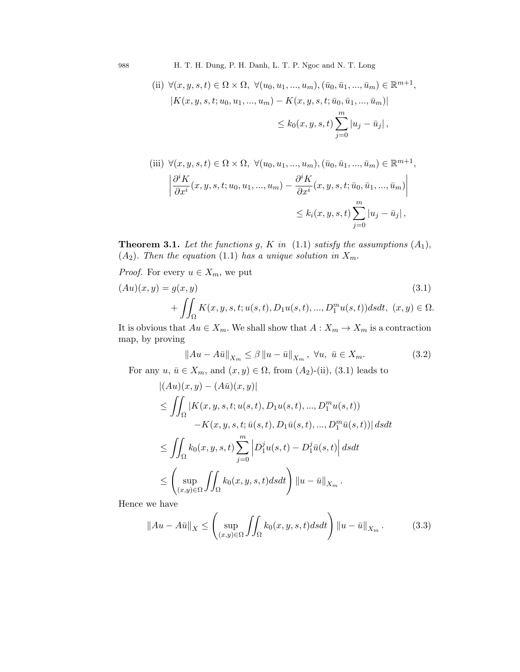988 H. T. H. Dung, P. H. Danh, L. T. P. Ngoc and N. T. Long

(ii) 
$$
\forall (x, y, s, t) \in \Omega \times \Omega
$$
,  $\forall (u_0, u_1, ..., u_m), (\bar{u}_0, \bar{u}_1, ..., \bar{u}_m) \in \mathbb{R}^{m+1}$ ,  
\n $|K(x, y, s, t; u_0, u_1, ..., u_m) - K(x, y, s, t; \bar{u}_0, \bar{u}_1, ..., \bar{u}_m)|$   
\n $\leq k_0(x, y, s, t) \sum_{j=0}^{m} |u_j - \bar{u}_j|$ ,

(iii) 
$$
\forall (x, y, s, t) \in \Omega \times \Omega
$$
,  $\forall (u_0, u_1, ..., u_m), (\bar{u}_0, \bar{u}_1, ..., \bar{u}_m) \in \mathbb{R}^{m+1}$ ,  
\n
$$
\left| \frac{\partial^i K}{\partial x^i}(x, y, s, t; u_0, u_1, ..., u_m) - \frac{\partial^i K}{\partial x^i}(x, y, s, t; \bar{u}_0, \bar{u}_1, ..., \bar{u}_m) \right|
$$
\n
$$
\leq k_i(x, y, s, t) \sum_{j=0}^m |u_j - \bar{u}_j|,
$$

**Theorem 3.1.** Let the functions g, K in  $(1.1)$  satisfy the assumptions  $(A_1)$ ,  $(A_2)$ . Then the equation (1.1) has a unique solution in  $X_m$ .

*Proof.* For every 
$$
u \in X_m
$$
, we put

$$
(Au)(x,y) = g(x,y) \tag{3.1}
$$

$$
+ \iint_{\Omega} K(x,y,s,t;u(s,t),D_1u(s,t),...,D_1^m u(s,t))dsdt, \ (x,y) \in \Omega.
$$

It is obvious that  $Au \in X_m$ . We shall show that  $A: X_m \to X_m$  is a contraction map, by proving

$$
||Au - A\bar{u}||_{X_m} \le \beta ||u - \bar{u}||_{X_m}, \ \forall u, \ \bar{u} \in X_m.
$$
 (3.2)

For any  $u, \bar{u} \in X_m$ , and  $(x, y) \in \Omega$ , from  $(A_2)$ -(ii),  $(3.1)$  leads to

$$
\begin{aligned} &|(Au)(x,y)-(A\bar{u})(x,y)|\\ &\leq \iint_{\Omega}|K(x,y,s,t;u(s,t),D_1u(s,t),...,D_1^mu(s,t))\\ &-K(x,y,s,t;\bar{u}(s,t),D_1\bar{u}(s,t),...,D_1^m\bar{u}(s,t))|\,dsdt\\ &\leq \iint_{\Omega}k_0(x,y,s,t)\sum_{j=0}^m\Big|D_1^ju(s,t)-D_1^j\bar{u}(s,t)\Big|\,dsdt\\ &\leq \left(\sup_{(x,y)\in\Omega}\iint_{\Omega}k_0(x,y,s,t)dsdt\right)\|u-\bar{u}\|_{X_m}\,. \end{aligned}
$$

Hence we have

$$
\|Au - A\bar{u}\|_{X} \le \left(\sup_{(x,y)\in\Omega} \iint_{\Omega} k_0(x,y,s,t)dsdt\right) \|u - \bar{u}\|_{X_m}.
$$
 (3.3)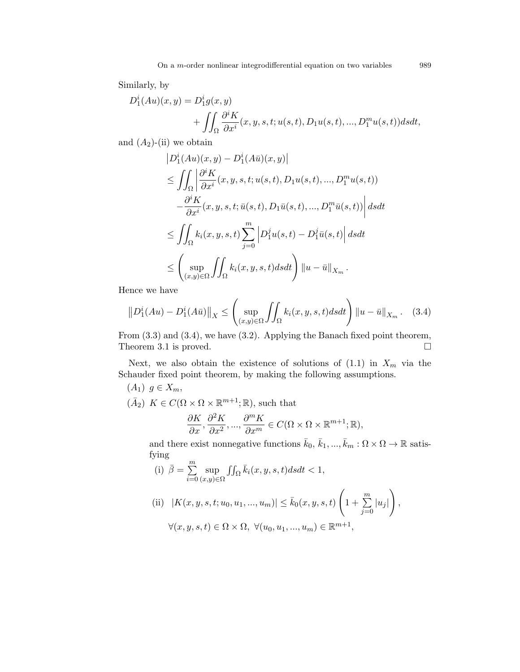Similarly, by

$$
D_1^i(Au)(x,y) = D_1^i g(x,y)
$$
  
+ 
$$
\iint_{\Omega} \frac{\partial^i K}{\partial x^i}(x, y, s, t; u(s, t), D_1 u(s, t), ..., D_1^m u(s, t)) ds dt,
$$

and  $(A_2)$ -(ii) we obtain

$$
|D_1^i(Au)(x,y) - D_1^i(A\bar{u})(x,y)|
$$
  
\n
$$
\leq \iint_{\Omega} \left| \frac{\partial^i K}{\partial x^i}(x, y, s, t; u(s, t), D_1 u(s, t), ..., D_1^m u(s, t)) - \frac{\partial^i K}{\partial x^i}(x, y, s, t; \bar{u}(s, t), D_1 \bar{u}(s, t), ..., D_1^m \bar{u}(s, t)) \right| ds dt
$$
  
\n
$$
\leq \iint_{\Omega} k_i(x, y, s, t) \sum_{j=0}^m \left| D_1^j u(s, t) - D_1^j \bar{u}(s, t) \right| ds dt
$$
  
\n
$$
\leq \left( \sup_{(x, y) \in \Omega} \iint_{\Omega} k_i(x, y, s, t) ds dt \right) ||u - \bar{u}||_{X_m}.
$$

Hence we have

$$
\left\| D_1^i(Au) - D_1^i(A\bar{u}) \right\|_X \le \left( \sup_{(x,y)\in\Omega} \iint_{\Omega} k_i(x,y,s,t)dsdt \right) \left\| u - \bar{u} \right\|_{X_m}.
$$
 (3.4)

From (3.3) and (3.4), we have (3.2). Applying the Banach fixed point theorem, Theorem 3.1 is proved.  $\square$ 

Next, we also obtain the existence of solutions of  $(1.1)$  in  $X_m$  via the Schauder fixed point theorem, by making the following assumptions.

$$
(A_1) \ g \in X_m,
$$
  
\n
$$
(\bar{A}_2) \ K \in C(\Omega \times \Omega \times \mathbb{R}^{m+1}; \mathbb{R}), \text{ such that}
$$
  
\n
$$
\frac{\partial K}{\partial x}, \frac{\partial^2 K}{\partial x^2}, ..., \frac{\partial^m K}{\partial x^m} \in C(\Omega \times \Omega \times \mathbb{R}^{m+1}; \mathbb{R}),
$$

and there exist nonnegative functions  $\bar{k}_0$ ,  $\bar{k}_1, ..., \bar{k}_m : \Omega \times \Omega \to \mathbb{R}$  satisfying

(i) 
$$
\bar{\beta} = \sum_{i=0}^{m} \sup_{(x,y)\in\Omega} \iint_{\Omega} \bar{k}_i(x, y, s, t) ds dt < 1,
$$

(ii) 
$$
|K(x, y, s, t; u_0, u_1, ..., u_m)| \le \bar{k}_0(x, y, s, t) \left(1 + \sum_{j=0}^m |u_j|\right),
$$
  
 $\forall (x, y, s, t) \in \Omega \times \Omega, \ \forall (u_0, u_1, ..., u_m) \in \mathbb{R}^{m+1},$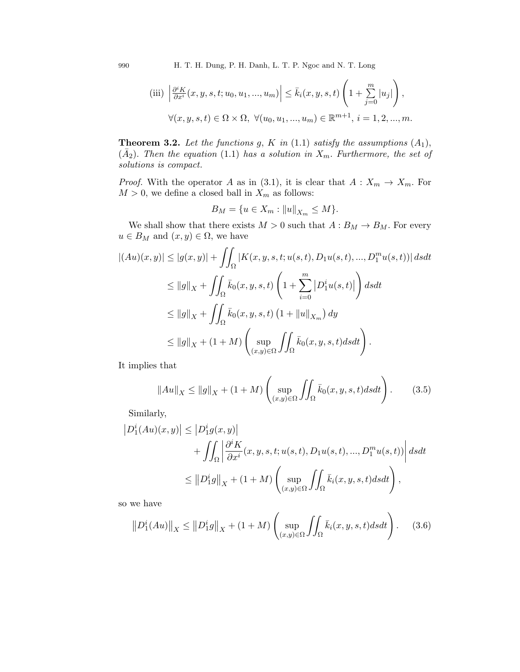990 H. T. H. Dung, P. H. Danh, L. T. P. Ngoc and N. T. Long

$$
\text{(iii)} \left| \frac{\partial^i K}{\partial x^i}(x, y, s, t; u_0, u_1, \dots, u_m) \right| \le \bar{k}_i(x, y, s, t) \left( 1 + \sum_{j=0}^m |u_j| \right),
$$

$$
\forall (x, y, s, t) \in \Omega \times \Omega, \ \forall (u_0, u_1, \dots, u_m) \in \mathbb{R}^{m+1}, \ i = 1, 2, \dots, m.
$$

**Theorem 3.2.** Let the functions g, K in  $(1.1)$  satisfy the assumptions  $(A_1)$ ,  $(\bar{A}_2)$ . Then the equation (1.1) has a solution in  $X_m$ . Furthermore, the set of solutions is compact.

*Proof.* With the operator A as in (3.1), it is clear that  $A: X_m \to X_m$ . For  $M>0,$  we define a closed ball in  ${\cal X}_m$  as follows:

$$
B_M=\{u\in X_m: \|u\|_{X_m}\leq M\}.
$$

We shall show that there exists  $M > 0$  such that  $A : B_M \to B_M$ . For every  $u \in B_M$  and  $(x, y) \in \Omega$ , we have

$$
|(Au)(x,y)| \le |g(x,y)| + \iint_{\Omega} |K(x,y,s,t;u(s,t),D_1u(s,t),...,D_1^m u(s,t))| ds dt
$$
  
\n
$$
\le ||g||_X + \iint_{\Omega} \bar{k}_0(x,y,s,t) \left(1 + \sum_{i=0}^m |D_1^i u(s,t)|\right) ds dt
$$
  
\n
$$
\le ||g||_X + \iint_{\Omega} \bar{k}_0(x,y,s,t) \left(1 + ||u||_{X_m}\right) dy
$$
  
\n
$$
\le ||g||_X + (1+M) \left(\sup_{(x,y)\in\Omega} \iint_{\Omega} \bar{k}_0(x,y,s,t) ds dt\right).
$$

It implies that

$$
||Au||_X \le ||g||_X + (1+M) \left( \sup_{(x,y)\in\Omega} \iint_\Omega \bar{k}_0(x,y,s,t)dsdt \right). \tag{3.5}
$$

Similarly,

$$
\begin{aligned} \left| D_1^i(Au)(x,y) \right| &\leq \left| D_1^i g(x,y) \right| \\ &+ \iint_{\Omega} \left| \frac{\partial^i K}{\partial x^i}(x,y,s,t;u(s,t),D_1 u(s,t),...,D_1^m u(s,t)) \right| ds dt \\ &\leq \left\| D_1^i g \right\|_X + (1+M) \left( \sup_{(x,y)\in\Omega} \iint_{\Omega} \bar{k}_i(x,y,s,t) ds dt \right), \end{aligned}
$$

so we have

$$
\left\| D_1^i(Au) \right\|_X \le \left\| D_1^i g \right\|_X + (1+M) \left( \sup_{(x,y)\in\Omega} \iint_{\Omega} \bar{k}_i(x,y,s,t) ds dt \right). \tag{3.6}
$$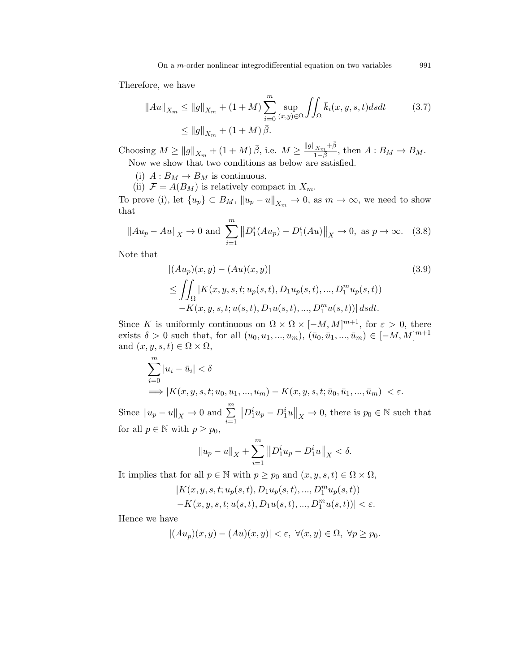Therefore, we have

$$
||Au||_{X_m} \le ||g||_{X_m} + (1+M) \sum_{i=0}^{m} \sup_{(x,y)\in\Omega} \iint_{\Omega} \bar{k}_i(x, y, s, t) ds dt
$$
 (3.7)  

$$
\le ||g||_{X_m} + (1+M) \bar{\beta}.
$$

Choosing  $M \ge ||g||_{X_m} + (1+M)\bar{\beta}$ , i.e.  $M \ge \frac{||g||_{X_m} + \bar{\beta}||_{X_m}}{1-\bar{\beta}}$  $\frac{1 \times m \top P}{1 - \overline{\beta}}$ , then  $A : B_M \to B_M$ . Now we show that two conditions as below are satisfied.

(i)  $A: B_M \to B_M$  is continuous.

(ii)  $\mathcal{F} = A(B_M)$  is relatively compact in  $X_m$ .

To prove (i), let  $\{u_p\} \subset B_M$ ,  $\|u_p - u\|_{X_m} \to 0$ , as  $m \to \infty$ , we need to show that

$$
||Au_p - Au||_X \to 0
$$
 and  $\sum_{i=1}^m ||D_1^i(Au_p) - D_1^i(Au)||_X \to 0$ , as  $p \to \infty$ . (3.8)

Note that

$$
|(Au_p)(x,y) - (Au)(x,y)|
$$
\n
$$
\leq \iint_{\Omega} |K(x,y,s,t;u_p(s,t),D_1u_p(s,t),...,D_1^m u_p(s,t))
$$
\n
$$
-K(x,y,s,t;u(s,t),D_1u(s,t),...,D_1^mu(s,t))| ds dt.
$$
\n(3.9)

Since K is uniformly continuous on  $\Omega \times \Omega \times [-M, M]^{m+1}$ , for  $\varepsilon > 0$ , there exists  $\delta > 0$  such that, for all  $(u_0, u_1, ..., u_m)$ ,  $(\bar{u}_0, \bar{u}_1, ..., \bar{u}_m) \in [-M, M]^{m+1}$ and  $(x, y, s, t) \in \Omega \times \Omega$ ,

$$
\sum_{i=0}^{m} |u_i - \bar{u}_i| < \delta
$$
  
\n
$$
\implies |K(x, y, s, t; u_0, u_1, ..., u_m) - K(x, y, s, t; \bar{u}_0, \bar{u}_1, ..., \bar{u}_m)| < \varepsilon.
$$

Since  $||u_p - u||_X \to 0$  and  $\sum_{i=1}^m$  $||D_1^i u_p - D_1^i u||_X \to 0$ , there is  $p_0 \in \mathbb{N}$  such that for all  $p \in \mathbb{N}$  with  $p \geq p_0$ ,

$$
||u_p - u||_X + \sum_{i=1}^m ||D_1^i u_p - D_1^i u||_X < \delta.
$$

It implies that for all  $p \in \mathbb{N}$  with  $p \geq p_0$  and  $(x, y, s, t) \in \Omega \times \Omega$ ,

$$
\begin{aligned} &|K(x,y,s,t;u_p(s,t),D_1u_p(s,t),...,D_1^mu_p(s,t)) \\ &-K(x,y,s,t;u(s,t),D_1u(s,t),...,D_1^mu(s,t))|<\varepsilon. \end{aligned}
$$

Hence we have

$$
|(Au_p)(x,y)-(Au)(x,y)| < \varepsilon, \ \forall (x,y) \in \Omega, \ \forall p \ge p_0.
$$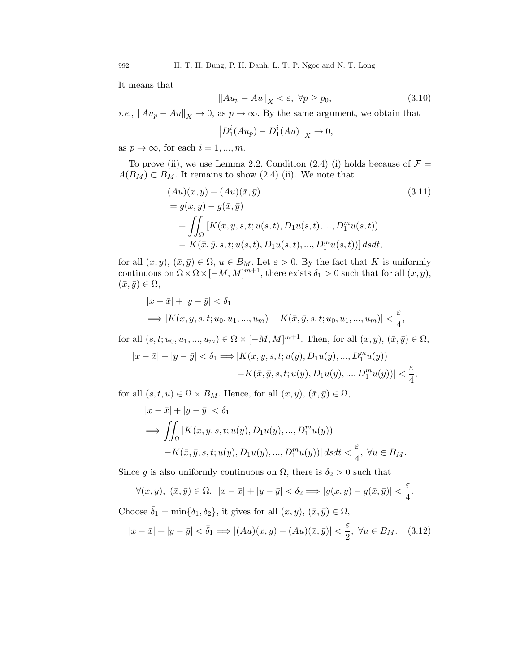It means that

$$
||Au_p - Au||_X < \varepsilon, \ \forall p \ge p_0,\tag{3.10}
$$

*i.e.*,  $||Au_p - Au||_X \to 0$ , as  $p \to \infty$ . By the same argument, we obtain that

$$
||D_1^i(Au_p) - D_1^i(Au)||_X \to 0,
$$

as  $p \to \infty$ , for each  $i = 1, ..., m$ .

To prove (ii), we use Lemma 2.2. Condition (2.4) (i) holds because of  $\mathcal{F} =$  $A(B_M) \subset B_M$ . It remains to show (2.4) (ii). We note that

$$
(Au)(x, y) - (Au)(\bar{x}, \bar{y})
$$
\n
$$
= g(x, y) - g(\bar{x}, \bar{y})
$$
\n
$$
+ \iint_{\Omega} [K(x, y, s, t; u(s, t), D_1 u(s, t), ..., D_1^m u(s, t))
$$
\n
$$
- K(\bar{x}, \bar{y}, s, t; u(s, t), D_1 u(s, t), ..., D_1^m u(s, t))] ds dt,
$$
\n(3.11)

for all  $(x, y)$ ,  $(\bar{x}, \bar{y}) \in \Omega$ ,  $u \in B_M$ . Let  $\varepsilon > 0$ . By the fact that K is uniformly continuous on  $\Omega \times \Omega \times [-M, M]^{m+1}$ , there exists  $\delta_1 > 0$  such that for all  $(x, y)$ ,  $(\bar{x}, \bar{y}) \in \Omega,$ 

$$
|x - \bar{x}| + |y - \bar{y}| < \delta_1
$$
  
\n
$$
\implies |K(x, y, s, t; u_0, u_1, ..., u_m) - K(\bar{x}, \bar{y}, s, t; u_0, u_1, ..., u_m)| < \frac{\varepsilon}{4},
$$

for all  $(s, t; u_0, u_1, ..., u_m) \in \Omega \times [-M, M]^{m+1}$ . Then, for all  $(x, y), (\bar{x}, \bar{y}) \in \Omega$ ,

$$
|x - \bar{x}| + |y - \bar{y}| < \delta_1 \Longrightarrow |K(x, y, s, t; u(y), D_1 u(y), ..., D_1^m u(y)) - K(\bar{x}, \bar{y}, s, t; u(y), D_1 u(y), ..., D_1^m u(y))| < \frac{\varepsilon}{4},
$$

for all  $(s, t, u) \in \Omega \times B_M$ . Hence, for all  $(x, y), (\bar{x}, \bar{y}) \in \Omega$ ,

$$
|x - \bar{x}| + |y - \bar{y}| < \delta_1
$$
  
\n
$$
\implies \iint_{\Omega} |K(x, y, s, t; u(y), D_1 u(y), ..., D_1^m u(y))
$$
  
\n
$$
-K(\bar{x}, \bar{y}, s, t; u(y), D_1 u(y), ..., D_1^m u(y))| ds dt < \frac{\varepsilon}{4}, \forall u \in B_M.
$$

Since g is also uniformly continuous on  $\Omega$ , there is  $\delta_2 > 0$  such that

$$
\forall (x,y), \ (\bar{x},\bar{y}) \in \Omega, \ |x-\bar{x}|+|y-\bar{y}| < \delta_2 \Longrightarrow |g(x,y)-g(\bar{x},\bar{y})| < \frac{\varepsilon}{4}.
$$

Choose 
$$
\bar{\delta}_1 = \min\{\delta_1, \delta_2\}
$$
, it gives for all  $(x, y), (\bar{x}, \bar{y}) \in \Omega$ ,  
\n
$$
|x - \bar{x}| + |y - \bar{y}| < \bar{\delta}_1 \Longrightarrow |(Au)(x, y) - (Au)(\bar{x}, \bar{y})| < \frac{\varepsilon}{2}, \ \forall u \in B_M. \quad (3.12)
$$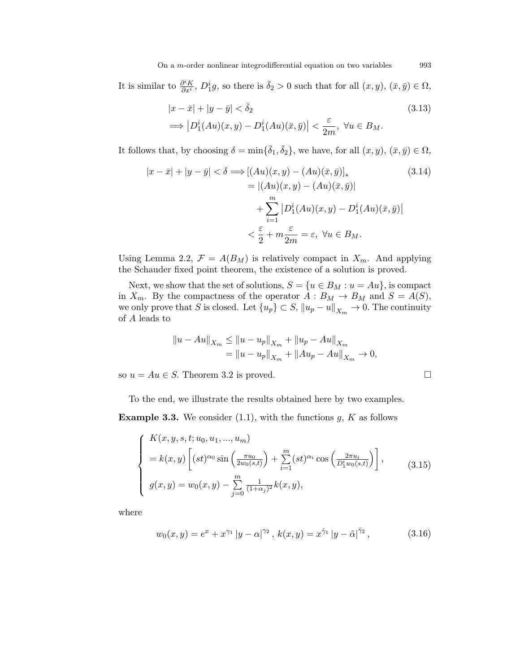It is similar to  $\frac{\partial^i K}{\partial x^i}$  $\frac{\partial^i K}{\partial x^i}$ ,  $D_1^i g$ , so there is  $\bar{\delta}_2 > 0$  such that for all  $(x, y)$ ,  $(\bar{x}, \bar{y}) \in \Omega$ ,

$$
|x - \bar{x}| + |y - \bar{y}| < \bar{\delta}_2
$$
\n
$$
\implies |D_1^i(Au)(x, y) - D_1^i(Au)(\bar{x}, \bar{y})| < \frac{\varepsilon}{2m}, \ \forall u \in B_M.
$$
\n(3.13)

It follows that, by choosing  $\delta = \min{\{\bar{\delta}_1, \bar{\delta}_2\}}$ , we have, for all  $(x, y)$ ,  $(\bar{x}, \bar{y}) \in \Omega$ ,

$$
|x - \bar{x}| + |y - \bar{y}| < \delta \Longrightarrow [(Au)(x, y) - (Au)(\bar{x}, \bar{y})]_{*}
$$
(3.14)  

$$
= |(Au)(x, y) - (Au)(\bar{x}, \bar{y})|
$$

$$
+ \sum_{i=1}^{m} |D_1^i(Au)(x, y) - D_1^i(Au)(\bar{x}, \bar{y})|
$$

$$
< \frac{\varepsilon}{2} + m \frac{\varepsilon}{2m} = \varepsilon, \forall u \in B_M.
$$

Using Lemma 2.2,  $\mathcal{F} = A(B_M)$  is relatively compact in  $X_m$ . And applying the Schauder fixed point theorem, the existence of a solution is proved.

Next, we show that the set of solutions,  $S = \{u \in B_M : u = Au\}$ , is compact in  $X_m$ . By the compactness of the operator  $A: B_M \to B_M$  and  $S = A(S)$ , we only prove that S is closed. Let  $\{u_p\} \subset S$ ,  $\|u_p - u\|_{X_m} \to 0$ . The continuity of A leads to

$$
||u - Au||_{X_m} \le ||u - u_p||_{X_m} + ||u_p - Au||_{X_m}
$$
  
= 
$$
||u - u_p||_{X_m} + ||Au_p - Au||_{X_m} \to 0,
$$

so  $u = Au \in S$ . Theorem 3.2 is proved.

To the end, we illustrate the results obtained here by two examples.

**Example 3.3.** We consider (1.1), with the functions  $g, K$  as follows

$$
\begin{cases}\nK(x, y, s, t; u_0, u_1, ..., u_m) \\
= k(x, y) \left[ (st)^{\alpha_0} \sin \left( \frac{\pi u_0}{2w_0(s, t)} \right) + \sum_{i=1}^m (st)^{\alpha_i} \cos \left( \frac{2\pi u_i}{D_1^i w_0(s, t)} \right) \right], \\
g(x, y) = w_0(x, y) - \sum_{j=0}^m \frac{1}{(1 + \alpha_j)^2} k(x, y),\n\end{cases} \tag{3.15}
$$

where

$$
w_0(x, y) = e^x + x^{\gamma_1} |y - \alpha|^{\gamma_2}, \ k(x, y) = x^{\tilde{\gamma}_1} |y - \tilde{\alpha}|^{\tilde{\gamma}_2}, \tag{3.16}
$$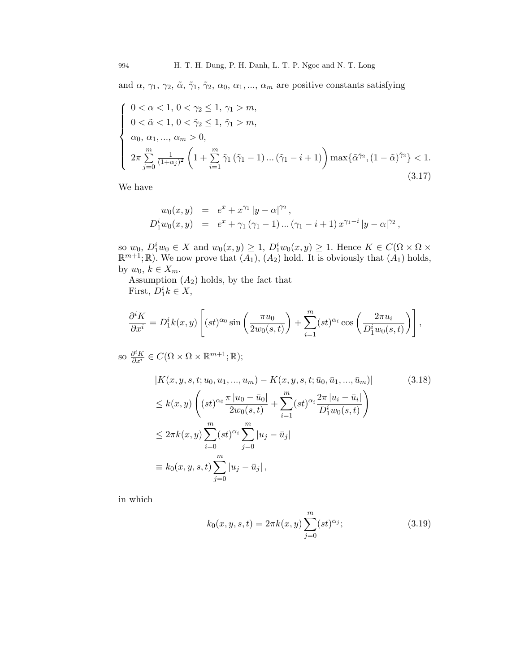and  $\alpha$ ,  $\gamma_1$ ,  $\gamma_2$ ,  $\tilde{\alpha}$ ,  $\tilde{\gamma}_1$ ,  $\tilde{\gamma}_2$ ,  $\alpha_0$ ,  $\alpha_1$ , ...,  $\alpha_m$  are positive constants satisfying

$$
\begin{cases}\n0 < \alpha < 1, \ 0 < \gamma_2 \le 1, \ \gamma_1 > m, \\
0 < \tilde{\alpha} < 1, \ 0 < \tilde{\gamma}_2 \le 1, \ \tilde{\gamma}_1 > m, \\
\alpha_0, \ \alpha_1, ..., \ \alpha_m > 0, \\
2\pi \sum_{j=0}^m \frac{1}{(1+\alpha_j)^2} \left(1 + \sum_{i=1}^m \tilde{\gamma}_1 (\tilde{\gamma}_1 - 1) ... (\tilde{\gamma}_1 - i + 1)\right) \max{\{\tilde{\alpha}^{\tilde{\gamma}_2}, (1 - \tilde{\alpha})^{\tilde{\gamma}_2}\}} < 1. \\
\end{cases}
$$
\n(3.17)

We have

$$
w_0(x, y) = e^x + x^{\gamma_1} |y - \alpha|^{\gamma_2},
$$
  
\n
$$
D_1^i w_0(x, y) = e^x + \gamma_1 (\gamma_1 - 1) \dots (\gamma_1 - i + 1) x^{\gamma_1 - i} |y - \alpha|^{\gamma_2},
$$

so  $w_0$ ,  $D_1^iw_0 \in X$  and  $w_0(x, y) \geq 1$ ,  $D_1^iw_0(x, y) \geq 1$ . Hence  $K \in C(\Omega \times \Omega \times$  $\mathbb{R}^{m+1}$ ;  $\mathbb{R}$ ). We now prove that  $(A_1), (A_2)$  hold. It is obviously that  $(A_1)$  holds, by  $w_0, k \in X_m$ .

Assumption  $(A_2)$  holds, by the fact that First,  $D_1^ik \in X$ ,

$$
\frac{\partial^i K}{\partial x^i} = D_1^i k(x, y) \left[ (st)^{\alpha_0} \sin \left( \frac{\pi u_0}{2w_0(s, t)} \right) + \sum_{i=1}^m (st)^{\alpha_i} \cos \left( \frac{2\pi u_i}{D_1^i w_0(s, t)} \right) \right],
$$

so  $\frac{\partial^i K}{\partial x^i} \in C(\Omega \times \Omega \times \mathbb{R}^{m+1}; \mathbb{R});$ 

$$
|K(x, y, s, t; u_0, u_1, ..., u_m) - K(x, y, s, t; \bar{u}_0, \bar{u}_1, ..., \bar{u}_m)|
$$
\n
$$
\leq k(x, y) \left( (st)^{\alpha_0} \frac{\pi |u_0 - \bar{u}_0|}{2w_0(s, t)} + \sum_{i=1}^m (st)^{\alpha_i} \frac{2\pi |u_i - \bar{u}_i|}{D_1^i w_0(s, t)} \right)
$$
\n
$$
\leq 2\pi k(x, y) \sum_{i=0}^m (st)^{\alpha_i} \sum_{j=0}^m |u_j - \bar{u}_j|
$$
\n
$$
\equiv k_0(x, y, s, t) \sum_{j=0}^m |u_j - \bar{u}_j|,
$$
\n
$$
(3.18)
$$

in which

$$
k_0(x, y, s, t) = 2\pi k(x, y) \sum_{j=0}^{m} (st)^{\alpha_j};
$$
\n(3.19)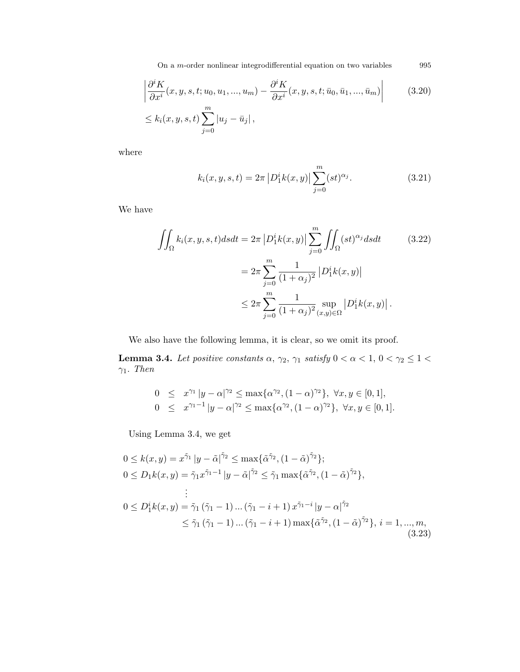On a  $m$ -order nonlinear integrodifferential equation on two variables  $\hspace{1cm} 995$ 

$$
\left| \frac{\partial^i K}{\partial x^i}(x, y, s, t; u_0, u_1, ..., u_m) - \frac{\partial^i K}{\partial x^i}(x, y, s, t; \bar{u}_0, \bar{u}_1, ..., \bar{u}_m) \right|
$$
(3.20)  

$$
\leq k_i(x, y, s, t) \sum_{j=0}^m |u_j - \bar{u}_j|,
$$

where

$$
k_i(x, y, s, t) = 2\pi \left| D_1^i k(x, y) \right| \sum_{j=0}^m (st)^{\alpha_j}.
$$
 (3.21)

We have

$$
\iint_{\Omega} k_i(x, y, s, t) ds dt = 2\pi \left| D_1^i k(x, y) \right| \sum_{j=0}^m \iint_{\Omega} (st)^{\alpha_j} ds dt
$$
\n
$$
= 2\pi \sum_{j=0}^m \frac{1}{(1 + \alpha_j)^2} \left| D_1^i k(x, y) \right|
$$
\n
$$
\leq 2\pi \sum_{j=0}^m \frac{1}{(1 + \alpha_j)^2} \sup_{(x, y) \in \Omega} \left| D_1^i k(x, y) \right|.
$$
\n(3.22)

We also have the following lemma, it is clear, so we omit its proof.

**Lemma 3.4.** Let positive constants  $\alpha$ ,  $\gamma_2$ ,  $\gamma_1$  satisfy  $0 < \alpha < 1$ ,  $0 < \gamma_2 \leq 1 <$  $\gamma_1$ . Then

$$
0 \leq x^{\gamma_1} |y - \alpha|^{\gamma_2} \leq \max\{\alpha^{\gamma_2}, (1 - \alpha)^{\gamma_2}\}, \ \forall x, y \in [0, 1],
$$
  
\n
$$
0 \leq x^{\gamma_1 - 1} |y - \alpha|^{\gamma_2} \leq \max\{\alpha^{\gamma_2}, (1 - \alpha)^{\gamma_2}\}, \ \forall x, y \in [0, 1].
$$

Using Lemma 3.4, we get

$$
0 \le k(x, y) = x^{\tilde{\gamma}_1} |y - \tilde{\alpha}|^{\tilde{\gamma}_2} \le \max{\{\tilde{\alpha}^{\tilde{\gamma}_2}, (1 - \tilde{\alpha})^{\tilde{\gamma}_2}\}};
$$
  
\n
$$
0 \le D_1 k(x, y) = \tilde{\gamma}_1 x^{\tilde{\gamma}_1 - 1} |y - \tilde{\alpha}|^{\tilde{\gamma}_2} \le \tilde{\gamma}_1 \max{\{\tilde{\alpha}^{\tilde{\gamma}_2}, (1 - \tilde{\alpha})^{\tilde{\gamma}_2}\}},
$$
  
\n
$$
\vdots
$$
  
\n
$$
0 \le D_1^i k(x, y) = \tilde{\gamma}_1 (\tilde{\gamma}_1 - 1) \dots (\tilde{\gamma}_1 - i + 1) x^{\tilde{\gamma}_1 - i} |y - \alpha|^{\tilde{\gamma}_2}
$$
  
\n
$$
\le \tilde{\gamma}_1 (\tilde{\gamma}_1 - 1) \dots (\tilde{\gamma}_1 - i + 1) \max{\{\tilde{\alpha}^{\tilde{\gamma}_2}, (1 - \tilde{\alpha})^{\tilde{\gamma}_2}\}}, i = 1, ..., m,
$$
  
\n(3.23)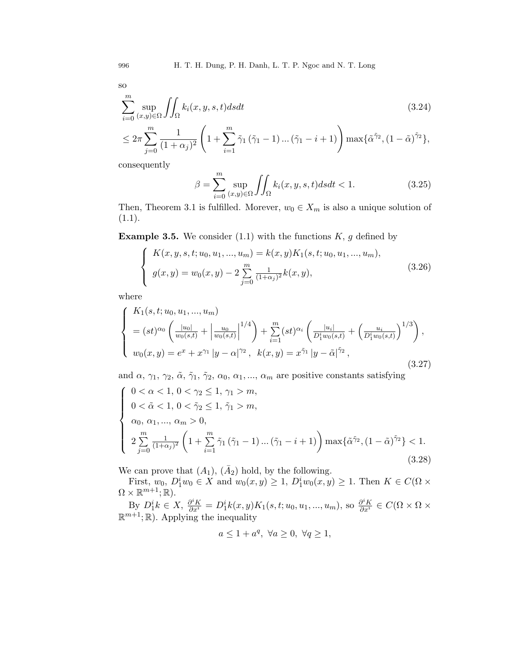so

$$
\sum_{i=0}^{m} \sup_{(x,y)\in\Omega} \iint_{\Omega} k_i(x,y,s,t)dsdt
$$
\n(3.24)

$$
\leq 2\pi\sum_{j=0}^m\frac{1}{(1+\alpha_j)^2}\left(1+\sum_{i=1}^m\tilde{\gamma}_1\left(\tilde{\gamma}_1-1\right)\dots\left(\tilde{\gamma}_1-i+1\right)\right)\max\{\tilde{\alpha}^{\tilde{\gamma}_2},(1-\tilde{\alpha})^{\tilde{\gamma}_2}\},
$$

consequently

$$
\beta = \sum_{i=0}^{m} \sup_{(x,y)\in\Omega} \iint_{\Omega} k_i(x,y,s,t)dsdt < 1.
$$
 (3.25)

Then, Theorem 3.1 is fulfilled. Morever,  $w_0 \in X_m$  is also a unique solution of  $(1.1).$ 

**Example 3.5.** We consider (1.1) with the functions  $K$ , g defined by

$$
\begin{cases}\nK(x, y, s, t; u_0, u_1, ..., u_m) = k(x, y)K_1(s, t; u_0, u_1, ..., u_m), \\
g(x, y) = w_0(x, y) - 2\sum_{j=0}^m \frac{1}{(1 + \alpha_j)^2}k(x, y),\n\end{cases}
$$
\n(3.26)

where

$$
\begin{cases}\nK_1(s, t; u_0, u_1, ..., u_m) \\
= (st)^{\alpha_0} \left( \frac{|u_0|}{w_0(s, t)} + \left| \frac{u_0}{w_0(s, t)} \right|^{1/4} \right) + \sum_{i=1}^m (st)^{\alpha_i} \left( \frac{|u_i|}{D_1^i w_0(s, t)} + \left( \frac{u_i}{D_1^i w_0(s, t)} \right)^{1/3} \right), \\
w_0(x, y) = e^x + x^{\gamma_1} |y - \alpha|^{\gamma_2}, \quad k(x, y) = x^{\tilde{\gamma}_1} |y - \tilde{\alpha}|^{\tilde{\gamma}_2},\n\end{cases}
$$
\n(3.27)

and  $\alpha$ ,  $\gamma_1$ ,  $\gamma_2$ ,  $\tilde{\alpha}$ ,  $\tilde{\gamma}_1$ ,  $\tilde{\gamma}_2$ ,  $\alpha_0$ ,  $\alpha_1$ , ...,  $\alpha_m$  are positive constants satisfying

$$
\begin{cases}\n0 < \alpha < 1, \ 0 < \gamma_2 \le 1, \ \gamma_1 > m, \\
0 < \tilde{\alpha} < 1, \ 0 < \tilde{\gamma}_2 \le 1, \ \tilde{\gamma}_1 > m, \\
\alpha_0, \ \alpha_1, \dots, \ \alpha_m > 0, \\
2 \sum_{j=0}^m \frac{1}{(1+\alpha_j)^2} \left(1 + \sum_{i=1}^m \tilde{\gamma}_1 \left(\tilde{\gamma}_1 - 1\right) \dots \left(\tilde{\gamma}_1 - i + 1\right)\right) \max\{\tilde{\alpha}^{\tilde{\gamma}_2}, \left(1 - \tilde{\alpha}\right)^{\tilde{\gamma}_2}\} < 1. \\
(3.28)\n\end{cases}
$$

We can prove that  $(A_1)$ ,  $(\bar{A}_2)$  hold, by the following.

First,  $w_0, D_1^i w_0 \in X$  and  $w_0(x, y) \ge 1$ ,  $D_1^i w_0(x, y) \ge 1$ . Then  $K \in C(\Omega \times$  $\Omega \times \mathbb{R}^{m+1}; \mathbb{R}$ ).

By  $D_1^ik \in X$ ,  $\frac{\partial^i K}{\partial x^i} = D_1^ik(x, y)K_1(s, t; u_0, u_1, ..., u_m)$ , so  $\frac{\partial^i K}{\partial x^i} \in C(\Omega \times \Omega \times$  $\mathbb{R}^{m+1}$ ; R). Applying the inequality

$$
a \le 1 + a^q, \ \forall a \ge 0, \ \forall q \ge 1,
$$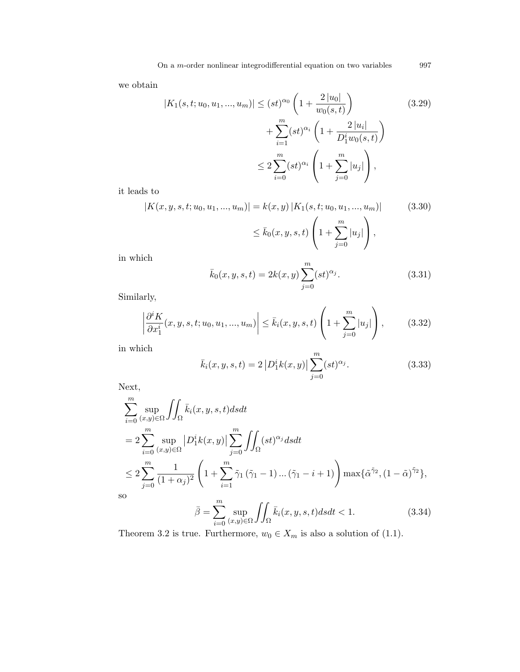we obtain

$$
|K_1(s, t; u_0, u_1, ..., u_m)| \le (st)^{\alpha_0} \left(1 + \frac{2 |u_0|}{w_0(s, t)}\right)
$$
  
+ 
$$
\sum_{i=1}^m (st)^{\alpha_i} \left(1 + \frac{2 |u_i|}{D_1^i w_0(s, t)}\right)
$$
  

$$
\le 2 \sum_{i=0}^m (st)^{\alpha_i} \left(1 + \sum_{j=0}^m |u_j|\right),
$$
 (3.29)

it leads to

$$
|K(x, y, s, t; u_0, u_1, ..., u_m)| = k(x, y) |K_1(s, t; u_0, u_1, ..., u_m)|
$$
(3.30)  

$$
\leq \bar{k}_0(x, y, s, t) \left(1 + \sum_{j=0}^m |u_j|\right),
$$

in which

$$
\bar{k}_0(x, y, s, t) = 2k(x, y) \sum_{j=0}^{m} (st)^{\alpha_j}.
$$
\n(3.31)

Similarly,

$$
\left| \frac{\partial^i K}{\partial x_1^i}(x, y, s, t; u_0, u_1, ..., u_m) \right| \le \bar{k}_i(x, y, s, t) \left( 1 + \sum_{j=0}^m |u_j| \right), \quad (3.32)
$$

in which

$$
\bar{k}_i(x, y, s, t) = 2 |D_1^i k(x, y)| \sum_{j=0}^m (st)^{\alpha_j}.
$$
 (3.33)

Next,

$$
\sum_{i=0}^{m} \sup_{(x,y)\in\Omega} \iint_{\Omega} \bar{k}_i(x, y, s, t) ds dt
$$
  
=  $2 \sum_{i=0}^{m} \sup_{(x,y)\in\Omega} |D_1^i k(x, y)| \sum_{j=0}^{m} \iint_{\Omega} (st)^{\alpha_j} ds dt$   
 $\leq 2 \sum_{j=0}^{m} \frac{1}{(1+\alpha_j)^2} \left(1 + \sum_{i=1}^{m} \tilde{\gamma}_1 (\tilde{\gamma}_1 - 1) \dots (\tilde{\gamma}_1 - i + 1) \right) \max{\{\tilde{\alpha}^{\tilde{\gamma}_2}, (1-\tilde{\alpha})^{\tilde{\gamma}_2}\}},$   
0  
 $\bar{\beta} = \sum_{i=0}^{m} \sup_{\Omega} \iint_{\bar{k}_i(x, y, s, t) ds dt} \langle 1, (3.34) \rangle$ 

so

$$
\bar{\beta} = \sum_{i=0}^{m} \sup_{(x,y)\in\Omega} \iint_{\Omega} \bar{k}_i(x,y,s,t)dsdt < 1.
$$
 (3.34)

Theorem 3.2 is true. Furthermore,  $w_0 \in X_m$  is also a solution of (1.1).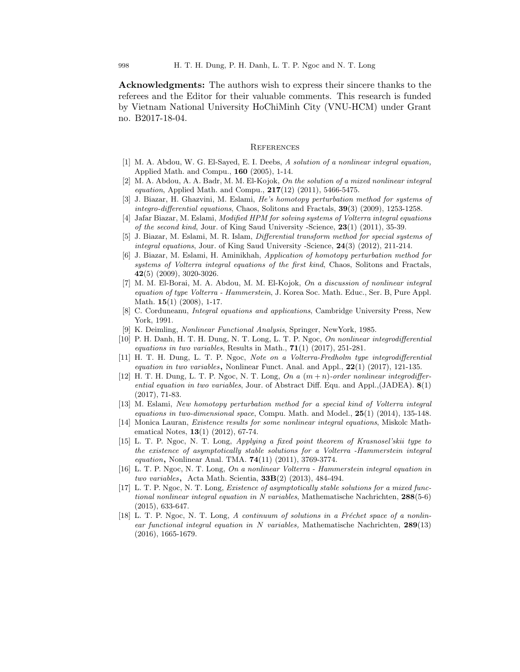Acknowledgments: The authors wish to express their sincere thanks to the referees and the Editor for their valuable comments. This research is funded by Vietnam National University HoChiMinh City (VNU-HCM) under Grant no. B2017-18-04.

#### **REFERENCES**

- [1] M. A. Abdou, W. G. El-Sayed, E. I. Deebs, A solution of a nonlinear integral equation, Applied Math. and Compu., 160 (2005), 1-14.
- [2] M. A. Abdou, A. A. Badr, M. M. El-Kojok, On the solution of a mixed nonlinear integral *equation*, Applied Math. and Compu.,  $217(12)$  (2011), 5466-5475.
- [3] J. Biazar, H. Ghazvini, M. Eslami, He's homotopy perturbation method for systems of integro-differential equations, Chaos, Solitons and Fractals, 39(3) (2009), 1253-1258.
- [4] Jafar Biazar, M. Eslami, Modified HPM for solving systems of Volterra integral equations of the second kind, Jour. of King Saud University -Science,  $23(1)$   $(2011)$ ,  $35-39$ .
- [5] J. Biazar, M. Eslami, M. R. Islam, Differential transform method for special systems of integral equations, Jour. of King Saud University -Science, 24(3) (2012), 211-214.
- [6] J. Biazar, M. Eslami, H. Aminikhah, Application of homotopy perturbation method for systems of Volterra integral equations of the first kind, Chaos, Solitons and Fractals, 42(5) (2009), 3020-3026.
- [7] M. M. El-Borai, M. A. Abdou, M. M. El-Kojok, On a discussion of nonlinear integral equation of type Volterra - Hammerstein, J. Korea Soc. Math. Educ., Ser. B, Pure Appl. Math. **15**(1) (2008), 1-17.
- [8] C. Corduneanu, *Integral equations and applications*, Cambridge University Press, New York, 1991.
- [9] K. Deimling, Nonlinear Functional Analysis, Springer, NewYork, 1985.
- [10] P. H. Danh, H. T. H. Dung, N. T. Long, L. T. P. Ngoc, On nonlinear integrodifferential equations in two variables, Results in Math.,  $71(1)$  (2017), 251-281.
- [11] H. T. H. Dung, L. T. P. Ngoc, Note on a Volterra-Fredholm type integrodifferential equation in two variables, Nonlinear Funct. Anal. and Appl.,  $22(1)$  (2017), 121-135.
- [12] H. T. H. Dung, L. T. P. Ngoc, N. T. Long, On a  $(m+n)$ -order nonlinear integrodifferential equation in two variables, Jour. of Abstract Diff. Equ. and Appl., $(JADEA)$ .  $8(1)$ (2017), 71-83.
- [13] M. Eslami, New homotopy perturbation method for a special kind of Volterra integral equations in two-dimensional space, Compu. Math. and Model.,  $25(1)$  (2014), 135-148.
- [14] Monica Lauran, Existence results for some nonlinear integral equations, Miskolc Mathematical Notes, **13**(1) (2012), 67-74.
- [15] L. T. P. Ngoc, N. T. Long, Applying a fixed point theorem of Krasnosel'skii type to the existence of asymptotically stable solutions for a Volterra -Hammerstein integral equation, Nonlinear Anal. TMA. **74**(11) (2011), 3769-3774.
- [16] L. T. P. Ngoc, N. T. Long, On a nonlinear Volterra Hammerstein integral equation in two variables, Acta Math. Scientia,  $33B(2)$  (2013), 484-494.
- [17] L. T. P. Ngoc, N. T. Long, Existence of asymptotically stable solutions for a mixed functional nonlinear integral equation in N variables, Mathematische Nachrichten,  $288(5-6)$ (2015), 633-647.
- [18] L. T. P. Ngoc, N. T. Long, A continuum of solutions in a Fréchet space of a nonlinear functional integral equation in N variables, Mathematische Nachrichten,  $289(13)$ (2016), 1665-1679.